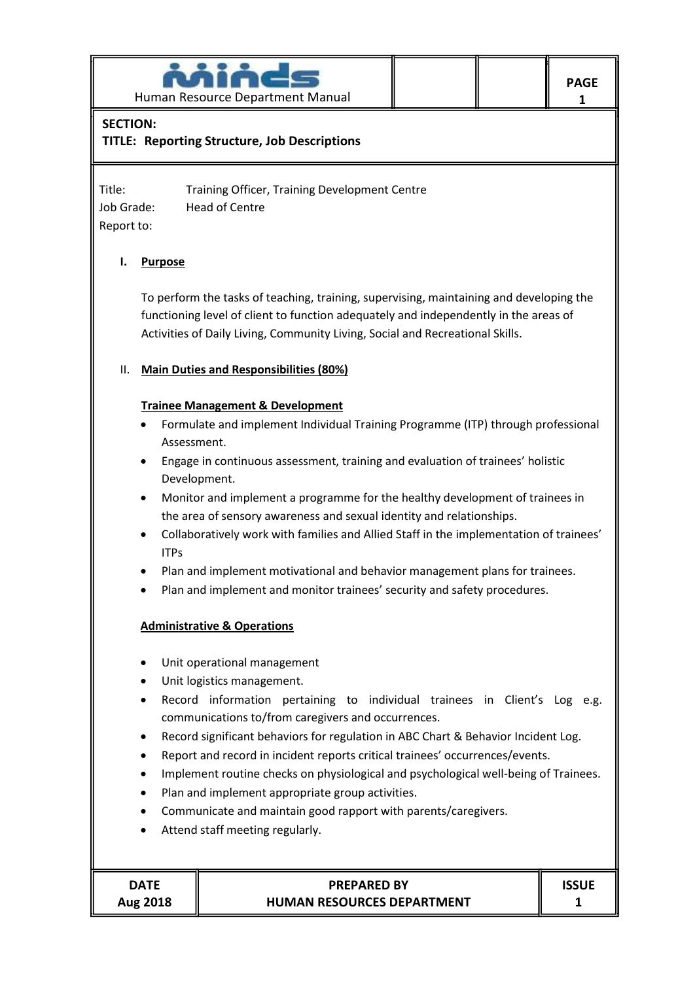

# **SECTION:**

**TITLE: Reporting Structure, Job Descriptions**

Title: Training Officer, Training Development Centre Job Grade: Head of Centre Report to:

## **I. Purpose**

To perform the tasks of teaching, training, supervising, maintaining and developing the functioning level of client to function adequately and independently in the areas of Activities of Daily Living, Community Living, Social and Recreational Skills.

## II. **Main Duties and Responsibilities (80%)**

## **Trainee Management & Development**

- Formulate and implement Individual Training Programme (ITP) through professional Assessment.
- Engage in continuous assessment, training and evaluation of trainees' holistic Development.
- Monitor and implement a programme for the healthy development of trainees in the area of sensory awareness and sexual identity and relationships.
- Collaboratively work with families and Allied Staff in the implementation of trainees' ITPs
- Plan and implement motivational and behavior management plans for trainees.
- Plan and implement and monitor trainees' security and safety procedures.

## **Administrative & Operations**

- Unit operational management
- Unit logistics management.
- Record information pertaining to individual trainees in Client's Log e.g. communications to/from caregivers and occurrences.
- Record significant behaviors for regulation in ABC Chart & Behavior Incident Log.
- Report and record in incident reports critical trainees' occurrences/events.
- Implement routine checks on physiological and psychological well-being of Trainees.
- Plan and implement appropriate group activities.
- Communicate and maintain good rapport with parents/caregivers.
- Attend staff meeting regularly.

| <b>DATE</b> |  |
|-------------|--|
| Aug 2018    |  |

## **PREPARED BY HUMAN RESOURCES DEPARTMENT**

**1**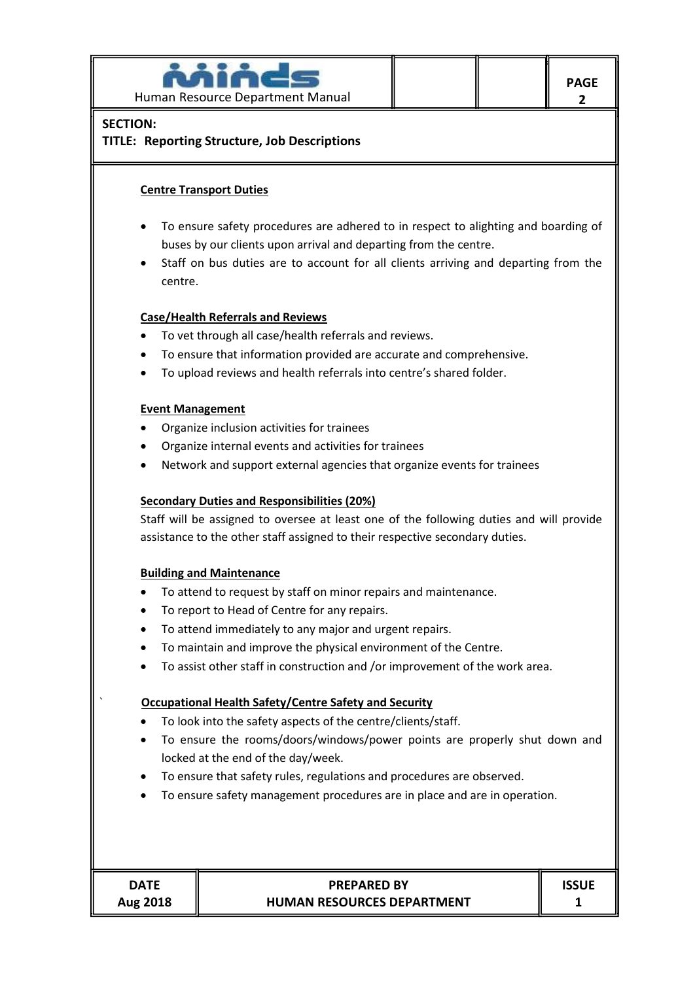

## **SECTION:**

## **TITLE: Reporting Structure, Job Descriptions**

## **Centre Transport Duties**

- To ensure safety procedures are adhered to in respect to alighting and boarding of buses by our clients upon arrival and departing from the centre.
- Staff on bus duties are to account for all clients arriving and departing from the centre.

#### **Case/Health Referrals and Reviews**

- To vet through all case/health referrals and reviews.
- To ensure that information provided are accurate and comprehensive.
- To upload reviews and health referrals into centre's shared folder.

#### **Event Management**

- Organize inclusion activities for trainees
- Organize internal events and activities for trainees
- Network and support external agencies that organize events for trainees

#### **Secondary Duties and Responsibilities (20%)**

Staff will be assigned to oversee at least one of the following duties and will provide assistance to the other staff assigned to their respective secondary duties.

#### **Building and Maintenance**

- To attend to request by staff on minor repairs and maintenance.
- To report to Head of Centre for any repairs.
- To attend immediately to any major and urgent repairs.
- To maintain and improve the physical environment of the Centre.
- To assist other staff in construction and /or improvement of the work area.

#### ` **Occupational Health Safety/Centre Safety and Security**

- To look into the safety aspects of the centre/clients/staff.
- To ensure the rooms/doors/windows/power points are properly shut down and locked at the end of the day/week.
- To ensure that safety rules, regulations and procedures are observed.
- To ensure safety management procedures are in place and are in operation.

| <b>DATE</b> |              |
|-------------|--------------|
| Aug 2018    | <b>HUMAN</b> |

# **PREPARED BY RESOURCES DEPARTMENT**